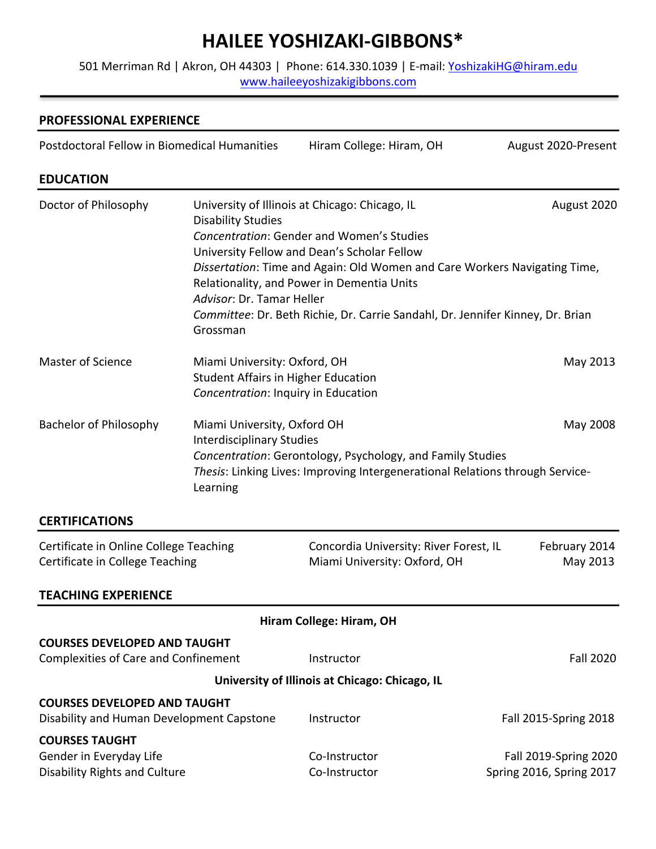# **HAILEE YOSHIZAKI-GIBBONS\***

501 Merriman Rd | Akron, OH 44303 | Phone: 614.330.1039 | E-mail: YoshizakiHG@hiram.edu www.haileeyoshizakigibbons.com

# **PROFESSIONAL EXPERIENCE** Postdoctoral Fellow in Biomedical Humanities Hiram College: Hiram, OH August 2020-Present **EDUCATION** Doctor of Philosophy University of Illinois at Chicago: Chicago, IL August 2020 Disability Studies *Concentration*: Gender and Women's Studies University Fellow and Dean's Scholar Fellow *Dissertation*: Time and Again: Old Women and Care Workers Navigating Time, Relationality, and Power in Dementia Units *Advisor*: Dr. Tamar Heller *Committee*: Dr. Beth Richie, Dr. Carrie Sandahl, Dr. Jennifer Kinney, Dr. Brian Grossman Master of Science **Miami University: Oxford, OH** May 2013 Student Affairs in Higher Education *Concentration*: Inquiry in Education Bachelor of Philosophy Miami University, Oxford OH May 2008 Interdisciplinary Studies *Concentration*: Gerontology, Psychology, and Family Studies *Thesis*: Linking Lives: Improving Intergenerational Relations through Service-Learning **CERTIFICATIONS** Certificate in Online College Teaching Concordia University: River Forest, IL February 2014 Certificate in College Teaching The Miami University: Oxford, OH May 2013 **TEACHING EXPERIENCE Hiram College: Hiram, OH COURSES DEVELOPED AND TAUGHT** Complexities of Care and Confinement This Instructor Theorem Complexities of Care and Confinement **University of Illinois at Chicago: Chicago, IL COURSES DEVELOPED AND TAUGHT** Disability and Human Development Capstone Instructor Fall 2015-Spring 2018 **COURSES TAUGHT** Gender in Everyday Life The Co-Instructor Communication Communication Fall 2019-Spring 2020 Disability Rights and Culture Co-Instructor Communication Communication Communication Communication Communication Spring 2017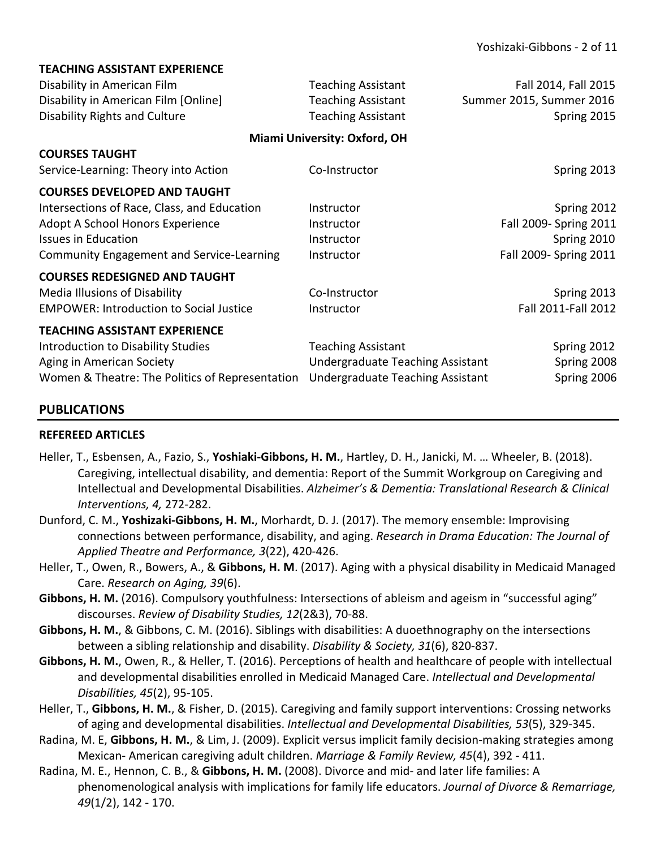| I CALTIING ASSISTANT CAPENICINCE                 |                                  |                          |  |
|--------------------------------------------------|----------------------------------|--------------------------|--|
| Disability in American Film                      | <b>Teaching Assistant</b>        | Fall 2014, Fall 2015     |  |
| Disability in American Film [Online]             | <b>Teaching Assistant</b>        | Summer 2015, Summer 2016 |  |
| <b>Disability Rights and Culture</b>             | <b>Teaching Assistant</b>        | Spring 2015              |  |
| Miami University: Oxford, OH                     |                                  |                          |  |
| <b>COURSES TAUGHT</b>                            |                                  |                          |  |
| Service-Learning: Theory into Action             | Co-Instructor                    | Spring 2013              |  |
| <b>COURSES DEVELOPED AND TAUGHT</b>              |                                  |                          |  |
| Intersections of Race, Class, and Education      | Instructor                       | Spring 2012              |  |
| Adopt A School Honors Experience                 | Instructor                       | Fall 2009- Spring 2011   |  |
| <b>Issues in Education</b>                       | Instructor                       | Spring 2010              |  |
| <b>Community Engagement and Service-Learning</b> | Instructor                       | Fall 2009- Spring 2011   |  |
| <b>COURSES REDESIGNED AND TAUGHT</b>             |                                  |                          |  |
| <b>Media Illusions of Disability</b>             | Co-Instructor                    | Spring 2013              |  |
| <b>EMPOWER: Introduction to Social Justice</b>   | Instructor                       | Fall 2011-Fall 2012      |  |
| <b>TEACHING ASSISTANT EXPERIENCE</b>             |                                  |                          |  |
| Introduction to Disability Studies               | <b>Teaching Assistant</b>        | Spring 2012              |  |
| Aging in American Society                        | Undergraduate Teaching Assistant | Spring 2008              |  |
| Women & Theatre: The Politics of Representation  | Undergraduate Teaching Assistant | Spring 2006              |  |
|                                                  |                                  |                          |  |

# **PUBLICATIONS**

## **REFEREED ARTICLES**

**TEACHING ASSISTANT EXPERIENCE**

- Heller, T., Esbensen, A., Fazio, S., **Yoshiaki-Gibbons, H. M.**, Hartley, D. H., Janicki, M. … Wheeler, B. (2018). Caregiving, intellectual disability, and dementia: Report of the Summit Workgroup on Caregiving and Intellectual and Developmental Disabilities. *Alzheimer's & Dementia: Translational Research & Clinical Interventions, 4,* 272-282.
- Dunford, C. M., **Yoshizaki-Gibbons, H. M.**, Morhardt, D. J. (2017). The memory ensemble: Improvising connections between performance, disability, and aging. *Research in Drama Education: The Journal of Applied Theatre and Performance, 3*(22), 420-426.
- Heller, T., Owen, R., Bowers, A., & **Gibbons, H. M**. (2017). Aging with a physical disability in Medicaid Managed Care. *Research on Aging, 39*(6).
- Gibbons, H. M. (2016). Compulsory youthfulness: Intersections of ableism and ageism in "successful aging" discourses. *Review of Disability Studies, 12*(2&3), 70-88.
- **Gibbons, H. M.**, & Gibbons, C. M. (2016). Siblings with disabilities: A duoethnography on the intersections between a sibling relationship and disability. *Disability & Society, 31*(6), 820-837.
- **Gibbons, H. M.**, Owen, R., & Heller, T. (2016). Perceptions of health and healthcare of people with intellectual and developmental disabilities enrolled in Medicaid Managed Care. *Intellectual and Developmental Disabilities, 45*(2), 95-105.
- Heller, T., **Gibbons, H. M.**, & Fisher, D. (2015). Caregiving and family support interventions: Crossing networks of aging and developmental disabilities. *Intellectual and Developmental Disabilities, 53*(5), 329-345.
- Radina, M. E, **Gibbons, H. M.**, & Lim, J. (2009). Explicit versus implicit family decision-making strategies among Mexican- American caregiving adult children. *Marriage & Family Review, 45*(4), 392 - 411.
- Radina, M. E., Hennon, C. B., & **Gibbons, H. M.** (2008). Divorce and mid- and later life families: A phenomenological analysis with implications for family life educators. *Journal of Divorce & Remarriage, 49*(1/2), 142 - 170.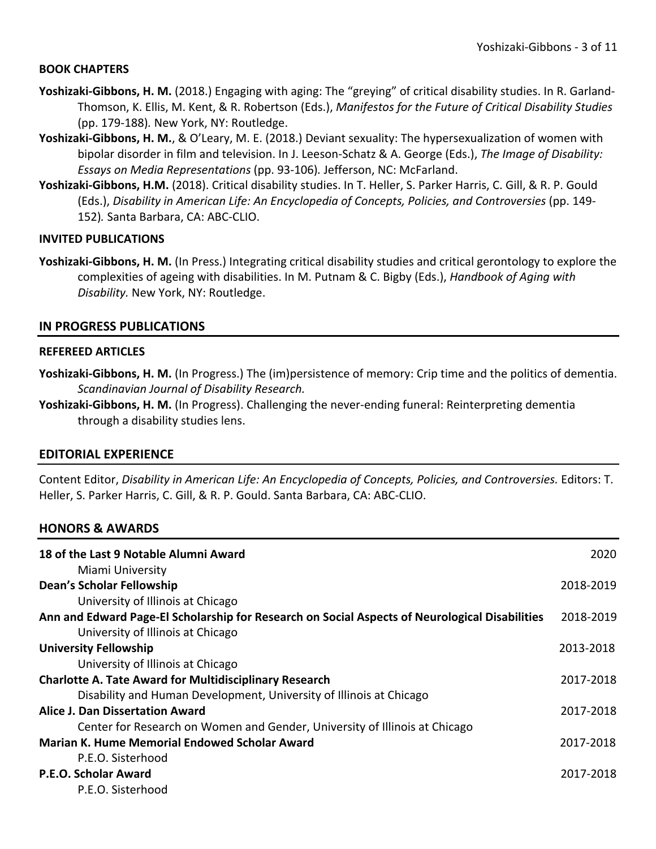#### **BOOK CHAPTERS**

- **Yoshizaki-Gibbons, H. M.** (2018.) Engaging with aging: The "greying" of critical disability studies. In R. Garland-Thomson, K. Ellis, M. Kent, & R. Robertson (Eds.), *Manifestos for the Future of Critical Disability Studies* (pp. 179-188)*.* New York, NY: Routledge.
- **Yoshizaki-Gibbons, H. M.**, & O'Leary, M. E. (2018.) Deviant sexuality: The hypersexualization of women with bipolar disorder in film and television. In J. Leeson-Schatz & A. George (Eds.), *The Image of Disability: Essays on Media Representations* (pp. 93-106)*.* Jefferson, NC: McFarland.
- **Yoshizaki-Gibbons, H.M.** (2018). Critical disability studies. In T. Heller, S. Parker Harris, C. Gill, & R. P. Gould (Eds.), *Disability in American Life: An Encyclopedia of Concepts, Policies, and Controversies* (pp. 149-152)*.* Santa Barbara, CA: ABC-CLIO.

#### **INVITED PUBLICATIONS**

**Yoshizaki-Gibbons, H. M.** (In Press.) Integrating critical disability studies and critical gerontology to explore the complexities of ageing with disabilities. In M. Putnam & C. Bigby (Eds.), *Handbook of Aging with Disability.* New York, NY: Routledge.

#### **IN PROGRESS PUBLICATIONS**

#### **REFEREED ARTICLES**

- **Yoshizaki-Gibbons, H. M.** (In Progress.) The (im)persistence of memory: Crip time and the politics of dementia. *Scandinavian Journal of Disability Research.*
- **Yoshizaki-Gibbons, H. M.** (In Progress). Challenging the never-ending funeral: Reinterpreting dementia through a disability studies lens.

#### **EDITORIAL EXPERIENCE**

Content Editor, *Disability in American Life: An Encyclopedia of Concepts, Policies, and Controversies.* Editors: T. Heller, S. Parker Harris, C. Gill, & R. P. Gould. Santa Barbara, CA: ABC-CLIO.

#### **HONORS & AWARDS**

| 18 of the Last 9 Notable Alumni Award                                                          | 2020      |
|------------------------------------------------------------------------------------------------|-----------|
| Miami University                                                                               |           |
| <b>Dean's Scholar Fellowship</b>                                                               | 2018-2019 |
| University of Illinois at Chicago                                                              |           |
| Ann and Edward Page-El Scholarship for Research on Social Aspects of Neurological Disabilities | 2018-2019 |
| University of Illinois at Chicago                                                              |           |
| <b>University Fellowship</b>                                                                   | 2013-2018 |
| University of Illinois at Chicago                                                              |           |
| <b>Charlotte A. Tate Award for Multidisciplinary Research</b>                                  | 2017-2018 |
| Disability and Human Development, University of Illinois at Chicago                            |           |
| Alice J. Dan Dissertation Award                                                                | 2017-2018 |
| Center for Research on Women and Gender, University of Illinois at Chicago                     |           |
| <b>Marian K. Hume Memorial Endowed Scholar Award</b>                                           |           |
| P.E.O. Sisterhood                                                                              |           |
| P.E.O. Scholar Award                                                                           | 2017-2018 |
| P.E.O. Sisterhood                                                                              |           |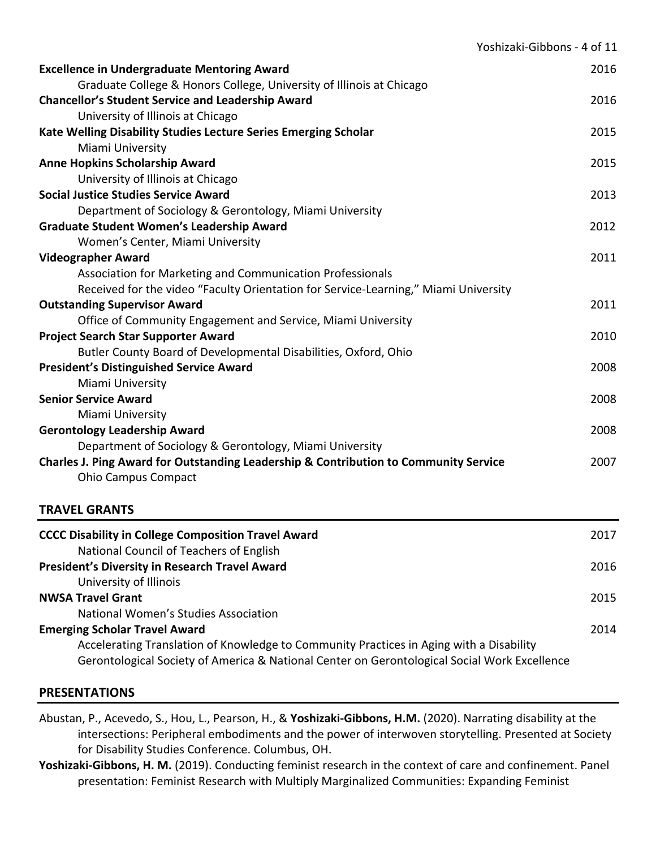|                                                                                      | Yoshizaki-Gibbons - 4 of 11 |
|--------------------------------------------------------------------------------------|-----------------------------|
| <b>Excellence in Undergraduate Mentoring Award</b>                                   | 2016                        |
| Graduate College & Honors College, University of Illinois at Chicago                 |                             |
| <b>Chancellor's Student Service and Leadership Award</b>                             | 2016                        |
| University of Illinois at Chicago                                                    |                             |
| Kate Welling Disability Studies Lecture Series Emerging Scholar                      | 2015                        |
| Miami University                                                                     |                             |
| <b>Anne Hopkins Scholarship Award</b>                                                | 2015                        |
| University of Illinois at Chicago                                                    |                             |
| <b>Social Justice Studies Service Award</b>                                          | 2013                        |
| Department of Sociology & Gerontology, Miami University                              |                             |
| <b>Graduate Student Women's Leadership Award</b>                                     | 2012                        |
| Women's Center, Miami University                                                     |                             |
| <b>Videographer Award</b>                                                            | 2011                        |
| Association for Marketing and Communication Professionals                            |                             |
| Received for the video "Faculty Orientation for Service-Learning," Miami University  |                             |
| <b>Outstanding Supervisor Award</b>                                                  | 2011                        |
| Office of Community Engagement and Service, Miami University                         |                             |
| <b>Project Search Star Supporter Award</b>                                           | 2010                        |
| Butler County Board of Developmental Disabilities, Oxford, Ohio                      |                             |
| <b>President's Distinguished Service Award</b>                                       | 2008                        |
| Miami University                                                                     |                             |
| <b>Senior Service Award</b>                                                          | 2008                        |
| Miami University                                                                     |                             |
| <b>Gerontology Leadership Award</b>                                                  | 2008                        |
| Department of Sociology & Gerontology, Miami University                              |                             |
| Charles J. Ping Award for Outstanding Leadership & Contribution to Community Service | 2007                        |
| <b>Ohio Campus Compact</b>                                                           |                             |
| <b>TRAVEL GRANTS</b>                                                                 |                             |
| <b>CCCC Disability in College Composition Travel Award</b>                           | 2017                        |
| National Council of Teachers of English                                              |                             |
| <b>President's Diversity in Research Travel Award</b>                                | 2016                        |

University of Illinois **NWSA Travel Grant** 2015

National Women's Studies Association

**Emerging Scholar Travel Award** 2014 Accelerating Translation of Knowledge to Community Practices in Aging with a Disability Gerontological Society of America & National Center on Gerontological Social Work Excellence

# **PRESENTATIONS**

Abustan, P., Acevedo, S., Hou, L., Pearson, H., & **Yoshizaki-Gibbons, H.M.** (2020). Narrating disability at the intersections: Peripheral embodiments and the power of interwoven storytelling. Presented at Society for Disability Studies Conference. Columbus, OH.

**Yoshizaki-Gibbons, H. M.** (2019). Conducting feminist research in the context of care and confinement. Panel presentation: Feminist Research with Multiply Marginalized Communities: Expanding Feminist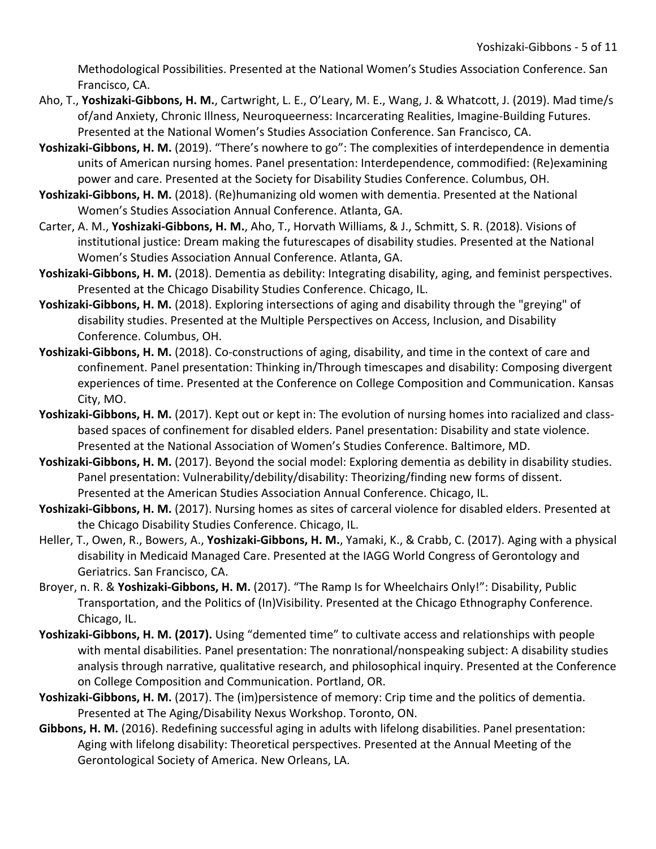Methodological Possibilities. Presented at the National Women's Studies Association Conference. San Francisco, CA.

- Aho, T., **Yoshizaki-Gibbons, H. M.**, Cartwright, L. E., O'Leary, M. E., Wang, J. & Whatcott, J. (2019). Mad time/s of/and Anxiety, Chronic Illness, Neuroqueerness: Incarcerating Realities, Imagine-Building Futures. Presented at the National Women's Studies Association Conference. San Francisco, CA.
- **Yoshizaki-Gibbons, H. M.** (2019). "There's nowhere to go": The complexities of interdependence in dementia units of American nursing homes. Panel presentation: Interdependence, commodified: (Re)examining power and care. Presented at the Society for Disability Studies Conference. Columbus, OH.
- **Yoshizaki-Gibbons, H. M.** (2018). (Re)humanizing old women with dementia. Presented at the National Women's Studies Association Annual Conference. Atlanta, GA.
- Carter, A. M., **Yoshizaki-Gibbons, H. M.**, Aho, T., Horvath Williams, & J., Schmitt, S. R. (2018). Visions of institutional justice: Dream making the futurescapes of disability studies. Presented at the National Women's Studies Association Annual Conference. Atlanta, GA.
- **Yoshizaki-Gibbons, H. M.** (2018). Dementia as debility: Integrating disability, aging, and feminist perspectives. Presented at the Chicago Disability Studies Conference. Chicago, IL.
- **Yoshizaki-Gibbons, H. M.** (2018). Exploring intersections of aging and disability through the "greying" of disability studies. Presented at the Multiple Perspectives on Access, Inclusion, and Disability Conference. Columbus, OH.
- **Yoshizaki-Gibbons, H. M.** (2018). Co-constructions of aging, disability, and time in the context of care and confinement. Panel presentation: Thinking in/Through timescapes and disability: Composing divergent experiences of time. Presented at the Conference on College Composition and Communication. Kansas City, MO.
- **Yoshizaki-Gibbons, H. M.** (2017). Kept out or kept in: The evolution of nursing homes into racialized and classbased spaces of confinement for disabled elders. Panel presentation: Disability and state violence. Presented at the National Association of Women's Studies Conference. Baltimore, MD.
- **Yoshizaki-Gibbons, H. M.** (2017). Beyond the social model: Exploring dementia as debility in disability studies. Panel presentation: Vulnerability/debility/disability: Theorizing/finding new forms of dissent. Presented at the American Studies Association Annual Conference. Chicago, IL.
- **Yoshizaki-Gibbons, H. M.** (2017). Nursing homes as sites of carceral violence for disabled elders. Presented at the Chicago Disability Studies Conference. Chicago, IL.
- Heller, T., Owen, R., Bowers, A., **Yoshizaki-Gibbons, H. M.**, Yamaki, K., & Crabb, C. (2017). Aging with a physical disability in Medicaid Managed Care. Presented at the IAGG World Congress of Gerontology and Geriatrics. San Francisco, CA.
- Broyer, n. R. & **Yoshizaki-Gibbons, H. M.** (2017). "The Ramp Is for Wheelchairs Only!": Disability, Public Transportation, and the Politics of (In)Visibility. Presented at the Chicago Ethnography Conference. Chicago, IL.
- **Yoshizaki-Gibbons, H. M. (2017).** Using "demented time" to cultivate access and relationships with people with mental disabilities. Panel presentation: The nonrational/nonspeaking subject: A disability studies analysis through narrative, qualitative research, and philosophical inquiry. Presented at the Conference on College Composition and Communication. Portland, OR.
- **Yoshizaki-Gibbons, H. M.** (2017). The (im)persistence of memory: Crip time and the politics of dementia. Presented at The Aging/Disability Nexus Workshop. Toronto, ON.
- **Gibbons, H. M.** (2016). Redefining successful aging in adults with lifelong disabilities. Panel presentation: Aging with lifelong disability: Theoretical perspectives. Presented at the Annual Meeting of the Gerontological Society of America. New Orleans, LA.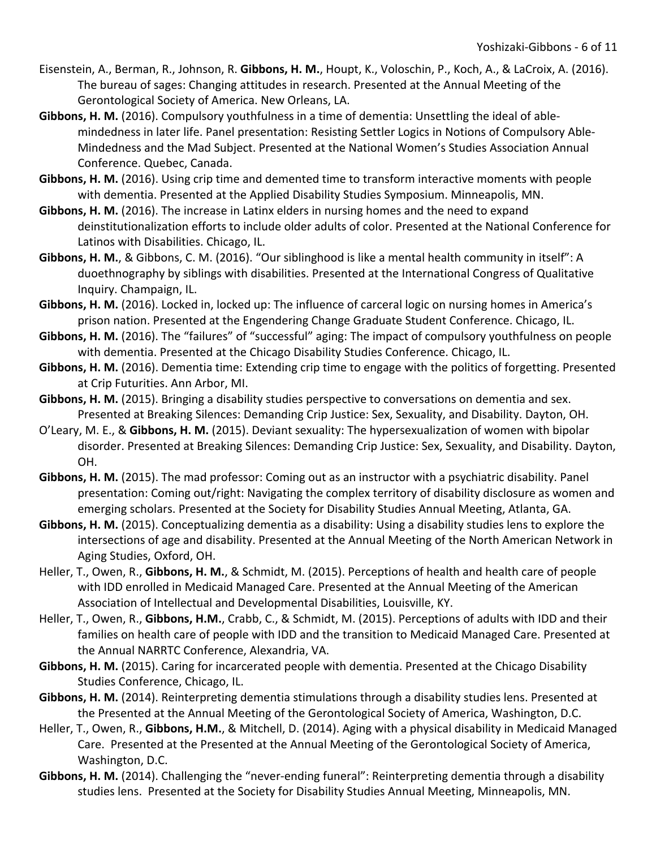- Eisenstein, A., Berman, R., Johnson, R. **Gibbons, H. M.**, Houpt, K., Voloschin, P., Koch, A., & LaCroix, A. (2016). The bureau of sages: Changing attitudes in research. Presented at the Annual Meeting of the Gerontological Society of America. New Orleans, LA.
- **Gibbons, H. M.** (2016). Compulsory youthfulness in a time of dementia: Unsettling the ideal of ablemindedness in later life. Panel presentation: Resisting Settler Logics in Notions of Compulsory Able-Mindedness and the Mad Subject. Presented at the National Women's Studies Association Annual Conference. Quebec, Canada.
- **Gibbons, H. M.** (2016). Using crip time and demented time to transform interactive moments with people with dementia. Presented at the Applied Disability Studies Symposium. Minneapolis, MN.
- **Gibbons, H. M.** (2016). The increase in Latinx elders in nursing homes and the need to expand deinstitutionalization efforts to include older adults of color. Presented at the National Conference for Latinos with Disabilities. Chicago, IL.
- **Gibbons, H. M.**, & Gibbons, C. M. (2016). "Our siblinghood is like a mental health community in itself": A duoethnography by siblings with disabilities. Presented at the International Congress of Qualitative Inquiry. Champaign, IL.
- **Gibbons, H. M.** (2016). Locked in, locked up: The influence of carceral logic on nursing homes in America's prison nation. Presented at the Engendering Change Graduate Student Conference. Chicago, IL.
- Gibbons, H. M. (2016). The "failures" of "successful" aging: The impact of compulsory youthfulness on people with dementia. Presented at the Chicago Disability Studies Conference. Chicago, IL.
- **Gibbons, H. M.** (2016). Dementia time: Extending crip time to engage with the politics of forgetting. Presented at Crip Futurities. Ann Arbor, MI.
- **Gibbons, H. M.** (2015). Bringing a disability studies perspective to conversations on dementia and sex. Presented at Breaking Silences: Demanding Crip Justice: Sex, Sexuality, and Disability. Dayton, OH.
- O'Leary, M. E., & **Gibbons, H. M.** (2015). Deviant sexuality: The hypersexualization of women with bipolar disorder. Presented at Breaking Silences: Demanding Crip Justice: Sex, Sexuality, and Disability. Dayton, OH.
- **Gibbons, H. M.** (2015). The mad professor: Coming out as an instructor with a psychiatric disability. Panel presentation: Coming out/right: Navigating the complex territory of disability disclosure as women and emerging scholars. Presented at the Society for Disability Studies Annual Meeting, Atlanta, GA.
- **Gibbons, H. M.** (2015). Conceptualizing dementia as a disability: Using a disability studies lens to explore the intersections of age and disability. Presented at the Annual Meeting of the North American Network in Aging Studies, Oxford, OH.
- Heller, T., Owen, R., **Gibbons, H. M.**, & Schmidt, M. (2015). Perceptions of health and health care of people with IDD enrolled in Medicaid Managed Care. Presented at the Annual Meeting of the American Association of Intellectual and Developmental Disabilities, Louisville, KY.
- Heller, T., Owen, R., **Gibbons, H.M.**, Crabb, C., & Schmidt, M. (2015). Perceptions of adults with IDD and their families on health care of people with IDD and the transition to Medicaid Managed Care. Presented at the Annual NARRTC Conference, Alexandria, VA.
- **Gibbons, H. M.** (2015). Caring for incarcerated people with dementia. Presented at the Chicago Disability Studies Conference, Chicago, IL.
- **Gibbons, H. M.** (2014). Reinterpreting dementia stimulations through a disability studies lens. Presented at the Presented at the Annual Meeting of the Gerontological Society of America, Washington, D.C.
- Heller, T., Owen, R., **Gibbons, H.M.**, & Mitchell, D. (2014). Aging with a physical disability in Medicaid Managed Care. Presented at the Presented at the Annual Meeting of the Gerontological Society of America, Washington, D.C.
- **Gibbons, H. M.** (2014). Challenging the "never-ending funeral": Reinterpreting dementia through a disability studies lens. Presented at the Society for Disability Studies Annual Meeting, Minneapolis, MN.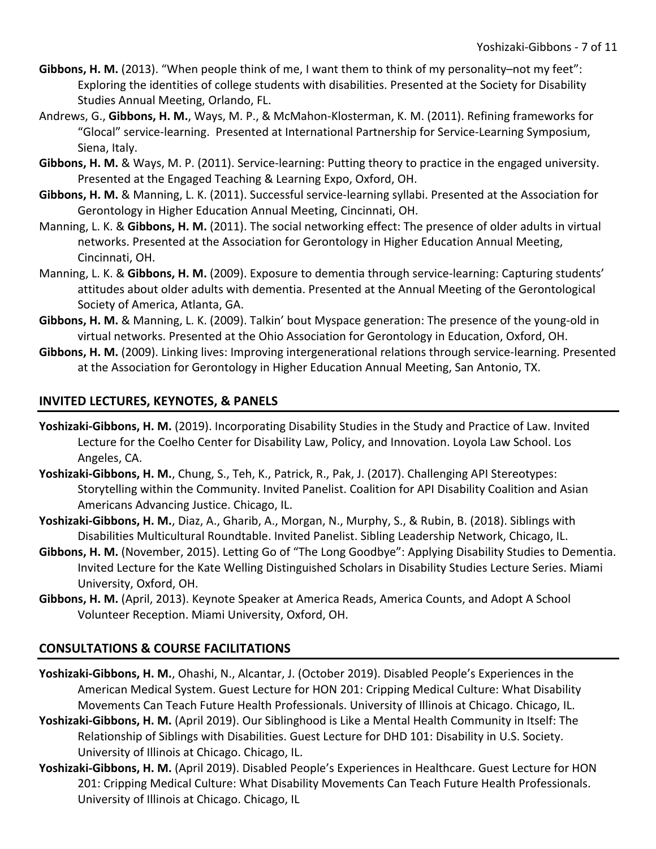- **Gibbons, H. M.** (2013). "When people think of me, I want them to think of my personality–not my feet": Exploring the identities of college students with disabilities. Presented at the Society for Disability Studies Annual Meeting, Orlando, FL.
- Andrews, G., **Gibbons, H. M.**, Ways, M. P., & McMahon-Klosterman, K. M. (2011). Refining frameworks for "Glocal" service-learning. Presented at International Partnership for Service-Learning Symposium, Siena, Italy.
- **Gibbons, H. M.** & Ways, M. P. (2011). Service-learning: Putting theory to practice in the engaged university. Presented at the Engaged Teaching & Learning Expo, Oxford, OH.
- **Gibbons, H. M.** & Manning, L. K. (2011). Successful service-learning syllabi. Presented at the Association for Gerontology in Higher Education Annual Meeting, Cincinnati, OH.
- Manning, L. K. & **Gibbons, H. M.** (2011). The social networking effect: The presence of older adults in virtual networks. Presented at the Association for Gerontology in Higher Education Annual Meeting, Cincinnati, OH.
- Manning, L. K. & **Gibbons, H. M.** (2009). Exposure to dementia through service-learning: Capturing students' attitudes about older adults with dementia. Presented at the Annual Meeting of the Gerontological Society of America, Atlanta, GA.
- **Gibbons, H. M.** & Manning, L. K. (2009). Talkin' bout Myspace generation: The presence of the young-old in virtual networks. Presented at the Ohio Association for Gerontology in Education, Oxford, OH.
- **Gibbons, H. M.** (2009). Linking lives: Improving intergenerational relations through service-learning. Presented at the Association for Gerontology in Higher Education Annual Meeting, San Antonio, TX.

# **INVITED LECTURES, KEYNOTES, & PANELS**

- **Yoshizaki-Gibbons, H. M.** (2019). Incorporating Disability Studies in the Study and Practice of Law. Invited Lecture for the Coelho Center for Disability Law, Policy, and Innovation. Loyola Law School. Los Angeles, CA.
- **Yoshizaki-Gibbons, H. M.**, Chung, S., Teh, K., Patrick, R., Pak, J. (2017). Challenging API Stereotypes: Storytelling within the Community. Invited Panelist. Coalition for API Disability Coalition and Asian Americans Advancing Justice. Chicago, IL.
- **Yoshizaki-Gibbons, H. M.**, Diaz, A., Gharib, A., Morgan, N., Murphy, S., & Rubin, B. (2018). Siblings with Disabilities Multicultural Roundtable. Invited Panelist. Sibling Leadership Network, Chicago, IL.
- **Gibbons, H. M.** (November, 2015). Letting Go of "The Long Goodbye": Applying Disability Studies to Dementia. Invited Lecture for the Kate Welling Distinguished Scholars in Disability Studies Lecture Series. Miami University, Oxford, OH.
- **Gibbons, H. M.** (April, 2013). Keynote Speaker at America Reads, America Counts, and Adopt A School Volunteer Reception. Miami University, Oxford, OH.

# **CONSULTATIONS & COURSE FACILITATIONS**

- **Yoshizaki-Gibbons, H. M.**, Ohashi, N., Alcantar, J. (October 2019). Disabled People's Experiences in the American Medical System. Guest Lecture for HON 201: Cripping Medical Culture: What Disability Movements Can Teach Future Health Professionals. University of Illinois at Chicago. Chicago, IL.
- **Yoshizaki-Gibbons, H. M.** (April 2019). Our Siblinghood is Like a Mental Health Community in Itself: The Relationship of Siblings with Disabilities. Guest Lecture for DHD 101: Disability in U.S. Society. University of Illinois at Chicago. Chicago, IL.
- **Yoshizaki-Gibbons, H. M.** (April 2019). Disabled People's Experiences in Healthcare. Guest Lecture for HON 201: Cripping Medical Culture: What Disability Movements Can Teach Future Health Professionals. University of Illinois at Chicago. Chicago, IL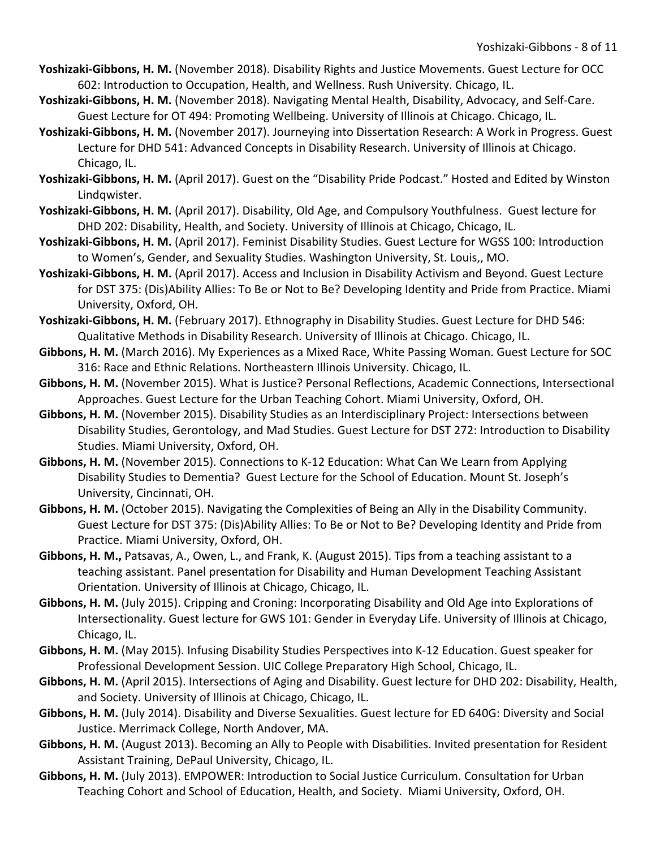- **Yoshizaki-Gibbons, H. M.** (November 2018). Disability Rights and Justice Movements. Guest Lecture for OCC 602: Introduction to Occupation, Health, and Wellness. Rush University. Chicago, IL.
- **Yoshizaki-Gibbons, H. M.** (November 2018). Navigating Mental Health, Disability, Advocacy, and Self-Care. Guest Lecture for OT 494: Promoting Wellbeing. University of Illinois at Chicago. Chicago, IL.
- **Yoshizaki-Gibbons, H. M.** (November 2017). Journeying into Dissertation Research: A Work in Progress. Guest Lecture for DHD 541: Advanced Concepts in Disability Research. University of Illinois at Chicago. Chicago, IL.
- **Yoshizaki-Gibbons, H. M.** (April 2017). Guest on the "Disability Pride Podcast." Hosted and Edited by Winston Lindqwister.
- **Yoshizaki-Gibbons, H. M.** (April 2017). Disability, Old Age, and Compulsory Youthfulness. Guest lecture for DHD 202: Disability, Health, and Society. University of Illinois at Chicago, Chicago, IL.
- **Yoshizaki-Gibbons, H. M.** (April 2017). Feminist Disability Studies. Guest Lecture for WGSS 100: Introduction to Women's, Gender, and Sexuality Studies. Washington University, St. Louis,, MO.
- **Yoshizaki-Gibbons, H. M.** (April 2017). Access and Inclusion in Disability Activism and Beyond. Guest Lecture for DST 375: (Dis)Ability Allies: To Be or Not to Be? Developing Identity and Pride from Practice. Miami University, Oxford, OH.
- **Yoshizaki-Gibbons, H. M.** (February 2017). Ethnography in Disability Studies. Guest Lecture for DHD 546: Qualitative Methods in Disability Research. University of Illinois at Chicago. Chicago, IL.
- **Gibbons, H. M.** (March 2016). My Experiences as a Mixed Race, White Passing Woman. Guest Lecture for SOC 316: Race and Ethnic Relations. Northeastern Illinois University. Chicago, IL.
- **Gibbons, H. M.** (November 2015). What is Justice? Personal Reflections, Academic Connections, Intersectional Approaches. Guest Lecture for the Urban Teaching Cohort. Miami University, Oxford, OH.
- **Gibbons, H. M.** (November 2015). Disability Studies as an Interdisciplinary Project: Intersections between Disability Studies, Gerontology, and Mad Studies. Guest Lecture for DST 272: Introduction to Disability Studies. Miami University, Oxford, OH.
- **Gibbons, H. M.** (November 2015). Connections to K-12 Education: What Can We Learn from Applying Disability Studies to Dementia? Guest Lecture for the School of Education. Mount St. Joseph's University, Cincinnati, OH.
- **Gibbons, H. M.** (October 2015). Navigating the Complexities of Being an Ally in the Disability Community. Guest Lecture for DST 375: (Dis)Ability Allies: To Be or Not to Be? Developing Identity and Pride from Practice. Miami University, Oxford, OH.
- **Gibbons, H. M.,** Patsavas, A., Owen, L., and Frank, K. (August 2015). Tips from a teaching assistant to a teaching assistant. Panel presentation for Disability and Human Development Teaching Assistant Orientation. University of Illinois at Chicago, Chicago, IL.
- **Gibbons, H. M.** (July 2015). Cripping and Croning: Incorporating Disability and Old Age into Explorations of Intersectionality. Guest lecture for GWS 101: Gender in Everyday Life. University of Illinois at Chicago, Chicago, IL.
- **Gibbons, H. M.** (May 2015). Infusing Disability Studies Perspectives into K-12 Education. Guest speaker for Professional Development Session. UIC College Preparatory High School, Chicago, IL.
- **Gibbons, H. M.** (April 2015). Intersections of Aging and Disability. Guest lecture for DHD 202: Disability, Health, and Society. University of Illinois at Chicago, Chicago, IL.
- **Gibbons, H. M.** (July 2014). Disability and Diverse Sexualities. Guest lecture for ED 640G: Diversity and Social Justice. Merrimack College, North Andover, MA.
- **Gibbons, H. M.** (August 2013). Becoming an Ally to People with Disabilities. Invited presentation for Resident Assistant Training, DePaul University, Chicago, IL.
- **Gibbons, H. M.** (July 2013). EMPOWER: Introduction to Social Justice Curriculum. Consultation for Urban Teaching Cohort and School of Education, Health, and Society. Miami University, Oxford, OH.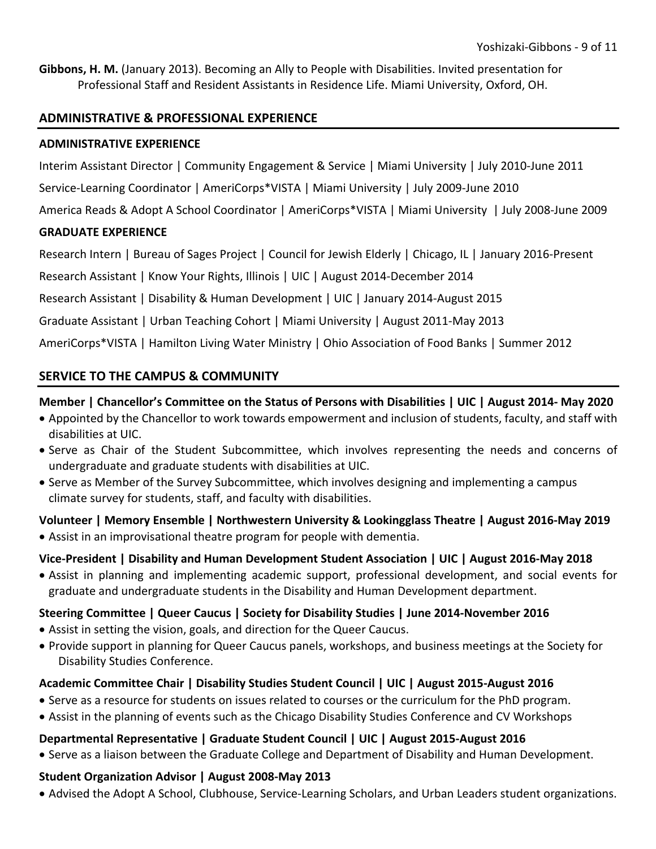**Gibbons, H. M.** (January 2013). Becoming an Ally to People with Disabilities. Invited presentation for Professional Staff and Resident Assistants in Residence Life. Miami University, Oxford, OH.

## **ADMINISTRATIVE & PROFESSIONAL EXPERIENCE**

## **ADMINISTRATIVE EXPERIENCE**

Interim Assistant Director | Community Engagement & Service | Miami University | July 2010-June 2011

Service-Learning Coordinator | AmeriCorps\*VISTA | Miami University | July 2009-June 2010

America Reads & Adopt A School Coordinator | AmeriCorps\*VISTA | Miami University | July 2008-June 2009

# **GRADUATE EXPERIENCE**

Research Intern | Bureau of Sages Project | Council for Jewish Elderly | Chicago, IL | January 2016-Present

Research Assistant | Know Your Rights, Illinois | UIC | August 2014-December 2014

Research Assistant | Disability & Human Development | UIC | January 2014-August 2015

Graduate Assistant | Urban Teaching Cohort | Miami University | August 2011-May 2013

AmeriCorps\*VISTA | Hamilton Living Water Ministry | Ohio Association of Food Banks | Summer 2012

# **SERVICE TO THE CAMPUS & COMMUNITY**

# **Member | Chancellor's Committee on the Status of Persons with Disabilities | UIC | August 2014- May 2020**

- Appointed by the Chancellor to work towards empowerment and inclusion of students, faculty, and staff with disabilities at UIC.
- Serve as Chair of the Student Subcommittee, which involves representing the needs and concerns of undergraduate and graduate students with disabilities at UIC.
- Serve as Member of the Survey Subcommittee, which involves designing and implementing a campus climate survey for students, staff, and faculty with disabilities.

# **Volunteer | Memory Ensemble | Northwestern University & Lookingglass Theatre | August 2016-May 2019**

• Assist in an improvisational theatre program for people with dementia.

# **Vice-President | Disability and Human Development Student Association | UIC | August 2016-May 2018**

• Assist in planning and implementing academic support, professional development, and social events for graduate and undergraduate students in the Disability and Human Development department.

# **Steering Committee | Queer Caucus | Society for Disability Studies | June 2014-November 2016**

- Assist in setting the vision, goals, and direction for the Queer Caucus.
- Provide support in planning for Queer Caucus panels, workshops, and business meetings at the Society for Disability Studies Conference.

# **Academic Committee Chair | Disability Studies Student Council | UIC | August 2015-August 2016**

- Serve as a resource for students on issues related to courses or the curriculum for the PhD program.
- Assist in the planning of events such as the Chicago Disability Studies Conference and CV Workshops

# **Departmental Representative | Graduate Student Council | UIC | August 2015-August 2016**

• Serve as a liaison between the Graduate College and Department of Disability and Human Development.

# **Student Organization Advisor | August 2008-May 2013**

• Advised the Adopt A School, Clubhouse, Service-Learning Scholars, and Urban Leaders student organizations.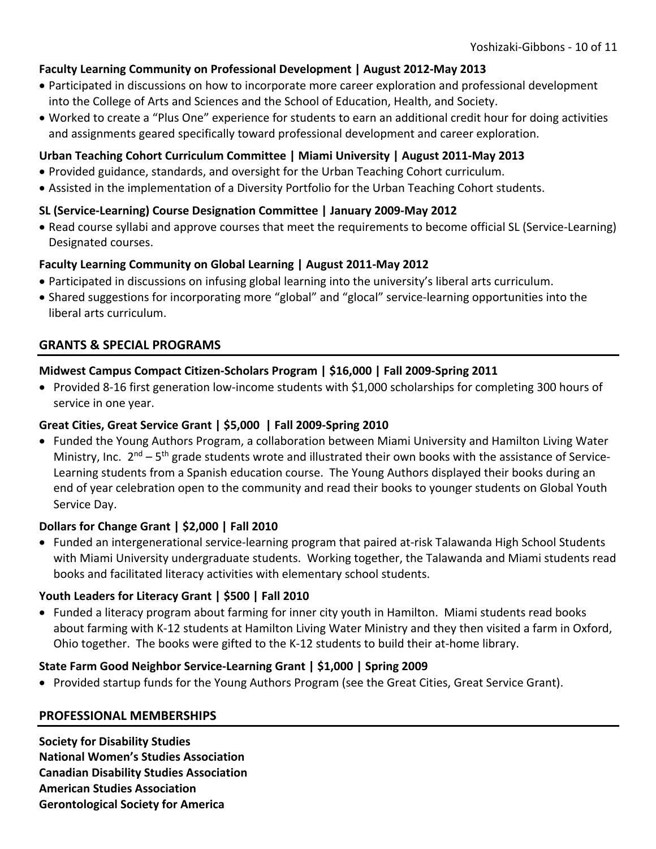# **Faculty Learning Community on Professional Development | August 2012-May 2013**

- Participated in discussions on how to incorporate more career exploration and professional development into the College of Arts and Sciences and the School of Education, Health, and Society.
- Worked to create a "Plus One" experience for students to earn an additional credit hour for doing activities and assignments geared specifically toward professional development and career exploration.

## **Urban Teaching Cohort Curriculum Committee | Miami University | August 2011-May 2013**

- Provided guidance, standards, and oversight for the Urban Teaching Cohort curriculum.
- Assisted in the implementation of a Diversity Portfolio for the Urban Teaching Cohort students.

## **SL (Service-Learning) Course Designation Committee | January 2009-May 2012**

• Read course syllabi and approve courses that meet the requirements to become official SL (Service-Learning) Designated courses.

## **Faculty Learning Community on Global Learning | August 2011-May 2012**

- Participated in discussions on infusing global learning into the university's liberal arts curriculum.
- Shared suggestions for incorporating more "global" and "glocal" service-learning opportunities into the liberal arts curriculum.

# **GRANTS & SPECIAL PROGRAMS**

# **Midwest Campus Compact Citizen-Scholars Program | \$16,000 | Fall 2009-Spring 2011**

• Provided 8-16 first generation low-income students with \$1,000 scholarships for completing 300 hours of service in one year.

## **Great Cities, Great Service Grant | \$5,000 | Fall 2009-Spring 2010**

• Funded the Young Authors Program, a collaboration between Miami University and Hamilton Living Water Ministry, Inc.  $2^{nd}$  – 5<sup>th</sup> grade students wrote and illustrated their own books with the assistance of Service-Learning students from a Spanish education course. The Young Authors displayed their books during an end of year celebration open to the community and read their books to younger students on Global Youth Service Day.

## **Dollars for Change Grant | \$2,000 | Fall 2010**

• Funded an intergenerational service-learning program that paired at-risk Talawanda High School Students with Miami University undergraduate students. Working together, the Talawanda and Miami students read books and facilitated literacy activities with elementary school students.

## **Youth Leaders for Literacy Grant | \$500 | Fall 2010**

• Funded a literacy program about farming for inner city youth in Hamilton. Miami students read books about farming with K-12 students at Hamilton Living Water Ministry and they then visited a farm in Oxford, Ohio together. The books were gifted to the K-12 students to build their at-home library.

## **State Farm Good Neighbor Service-Learning Grant | \$1,000 | Spring 2009**

• Provided startup funds for the Young Authors Program (see the Great Cities, Great Service Grant).

## **PROFESSIONAL MEMBERSHIPS**

**Society for Disability Studies National Women's Studies Association Canadian Disability Studies Association American Studies Association Gerontological Society for America**